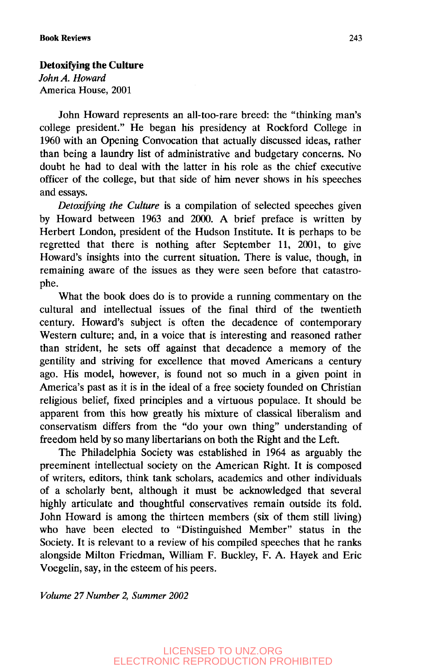## **Detoxifying the Culture**

*John A. Howard* America House, 2001

John Howard represents an all-too-rare breed: the "thinking man's college president." He began his presidency at Rockford College in 1960 with an Opening Convocation that actually discussed ideas, rather than being a laundry list of administrative and budgetary concerns. No doubt he had to deal with the latter in his role as the chief executive officer of the college, but that side of him never shows in his speeches and essays.

*Detoxifying the Culture* is a compilation of selected speeches given by Howard between 1963 and 2000. A brief preface is written by Herbert London, president of the Hudson Institute. It is perhaps to be regretted that there is nothing after September 11, 2001, to give Howard's insights into the current situation. There is value, though, in remaining aware of the issues as they were seen before that catastrophe.

What the book does do is to provide a running commentary on the cultural and intellectual issues of the final third of the twentieth century. Howard's subject is often the decadence of contemporary Western culture; and, in a voice that is interesting and reasoned rather than strident, he sets off against that decadence a memory of the gentility and striving for excellence that moved Americans a century ago. His model, however, is found not so much in a given point in America's past as it is in the ideal of a free society founded on Christian religious belief, fixed principles and a virtuous populace. It should be apparent from this how greatly his mixture of classical liberalism and conservatism differs from the "do your own thing" understanding of freedom held by so many libertarians on both the Right and the Left.

The Philadelphia Society was established in 1964 as arguably the preeminent intellectual society on the American Right. It is composed of writers, editors, think tank scholars, academics and other individuals of a scholarly bent, although it must be acknowledged that several highly articulate and thoughtful conservatives remain outside its fold. John Howard is among the thirteen members (six of them still living) who have been elected to "Distinguished Member" status in the Society. It is relevant to a review of his compiled speeches that he ranks alongside Milton Friedman, William F. Buckley, F. A. Hayek and Eric Voegelin, say, in the esteem of his peers.

*Volume 27 Number 2, Summer 2002*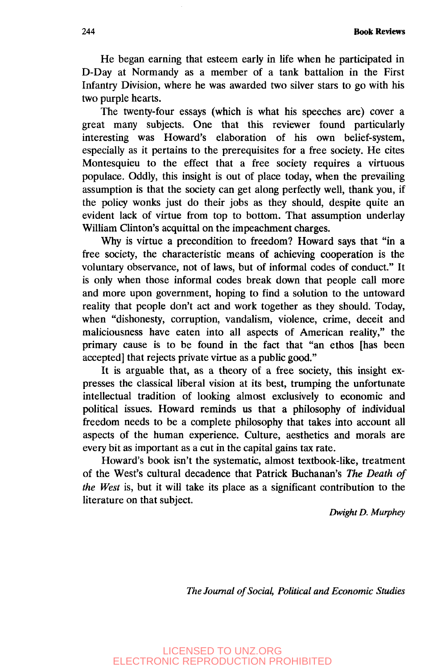**244 Book Reviews**

He began earning that esteem early in life when he participated in D-Day at Normandy as a member of a tank battalion in the First Infantry Division, where he was awarded two silver stars to go with his two purple hearts.

The twenty-four essays (which is what his speeches are) cover a great many subjects. One that this reviewer found particularly interesting was Howard's elaboration of his own belief-system, especially as it pertains to the prerequisites for a free society. He cites Montesquieu to the effect that a free society requires a virtuous populace. Oddly, this insight is out of place today, when the prevailing assumption is that the society can get along perfectly well, thank you, if the policy wonks just do their jobs as they should, despite quite an evident lack of virtue from top to bottom. That assumption underlay William Clinton's acquittal on the impeachment charges.

Why is virtue a precondition to freedom? Howard says that "in a free society, the characteristic means of achieving cooperation is the voluntary observance, not of laws, but of informal codes of conduct." It is only when those informal codes break down that people call more and more upon government, hoping to find a solution to the untoward reality that people don't act and work together as they should. Today, when "dishonesty, corruption, vandalism, violence, crime, deceit and maliciousness have eaten into all aspects of American reality," the primary cause is to be found in the fact that "an ethos [has been accepted] that rejects private virtue as a public good."

It is arguable that, as a theory of a free society, this insight expresses the classical liberal vision at its best, trumping the unfortunate intellectual tradition of looking almost exclusively to economic and political issues. Howard reminds us that a philosophy of individual freedom needs to be a complete philosophy that takes into account all aspects of the human experience. Culture, aesthetics and morals are every bit as important as a cut in the capital gains tax rate.

Howard's book isn't the systematic, almost textbook-like, treatment of the West's cultural decadence that Patrick Buchanan's *The Death of the West* is, but it will take its place as a significant contribution to the literature on that subject.

*Dwight D. Murphey*

*The Journal of Social, Political and Economic Studies*